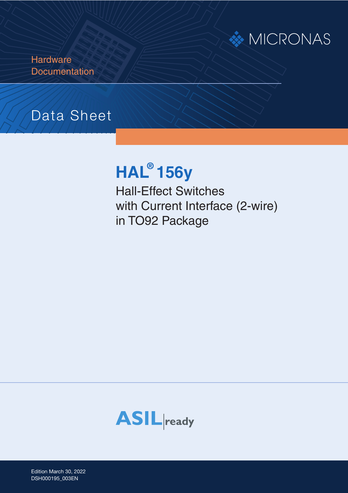# **MICRONAS**

**Hardware Documentation** 

# Data Sheet

# **HAL ® 156y**

Hall-Effect Switches with Current Interface (2-wire) in TO92 Package



Edition March 30, 2022 Edition March 30, 20<br>DSH000195\_003EN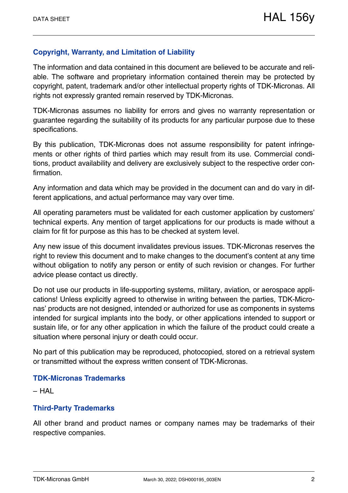## **Copyright, Warranty, and Limitation of Liability**

The information and data contained in this document are believed to be accurate and reliable. The software and proprietary information contained therein may be protected by copyright, patent, trademark and/or other intellectual property rights of TDK-Micronas. All rights not expressly granted remain reserved by TDK-Micronas.

TDK-Micronas assumes no liability for errors and gives no warranty representation or guarantee regarding the suitability of its products for any particular purpose due to these specifications.

By this publication, TDK-Micronas does not assume responsibility for patent infringements or other rights of third parties which may result from its use. Commercial conditions, product availability and delivery are exclusively subject to the respective order confirmation.

Any information and data which may be provided in the document can and do vary in different applications, and actual performance may vary over time.

All operating parameters must be validated for each customer application by customers' technical experts. Any mention of target applications for our products is made without a claim for fit for purpose as this has to be checked at system level.

Any new issue of this document invalidates previous issues. TDK-Micronas reserves the right to review this document and to make changes to the document's content at any time without obligation to notify any person or entity of such revision or changes. For further advice please contact us directly.

Do not use our products in life-supporting systems, military, aviation, or aerospace applications! Unless explicitly agreed to otherwise in writing between the parties, TDK-Micronas' products are not designed, intended or authorized for use as components in systems intended for surgical implants into the body, or other applications intended to support or sustain life, or for any other application in which the failure of the product could create a situation where personal injury or death could occur.

No part of this publication may be reproduced, photocopied, stored on a retrieval system or transmitted without the express written consent of TDK-Micronas.

#### **TDK-Micronas Trademarks**

– HAL

#### **Third-Party Trademarks**

All other brand and product names or company names may be trademarks of their respective companies.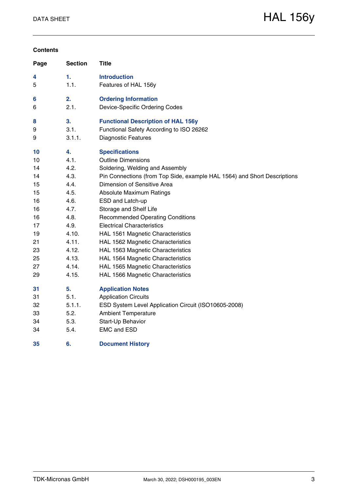#### **Contents**

| Page | <b>Section</b> | <b>Title</b>                                                             |
|------|----------------|--------------------------------------------------------------------------|
| 4    | 1.             | <b>Introduction</b>                                                      |
| 5    | 1.1.           | Features of HAL 156y                                                     |
| 6    | 2.             | <b>Ordering Information</b>                                              |
| 6    | 2.1.           | Device-Specific Ordering Codes                                           |
| 8    | 3.             | <b>Functional Description of HAL 156y</b>                                |
| 9    | 3.1.           | Functional Safety According to ISO 26262                                 |
| 9    | 3.1.1.         | <b>Diagnostic Features</b>                                               |
| 10   | 4.             | <b>Specifications</b>                                                    |
| 10   | 4.1.           | <b>Outline Dimensions</b>                                                |
| 14   | 4.2.           | Soldering, Welding and Assembly                                          |
| 14   | 4.3.           | Pin Connections (from Top Side, example HAL 1564) and Short Descriptions |
| 15   | 4.4.           | Dimension of Sensitive Area                                              |
| 15   | 4.5.           | <b>Absolute Maximum Ratings</b>                                          |
| 16   | 4.6.           | ESD and Latch-up                                                         |
| 16   | 4.7.           | Storage and Shelf Life                                                   |
| 16   | 4.8.           | <b>Recommended Operating Conditions</b>                                  |
| 17   | 4.9.           | <b>Electrical Characteristics</b>                                        |
| 19   | 4.10.          | HAL 1561 Magnetic Characteristics                                        |
| 21   | 4.11.          | HAL 1562 Magnetic Characteristics                                        |
| 23   | 4.12.          | HAL 1563 Magnetic Characteristics                                        |
| 25   | 4.13.          | HAL 1564 Magnetic Characteristics                                        |
| 27   | 4.14.          | HAL 1565 Magnetic Characteristics                                        |
| 29   | 4.15.          | HAL 1566 Magnetic Characteristics                                        |
| 31   | 5.             | <b>Application Notes</b>                                                 |
| 31   | 5.1.           | <b>Application Circuits</b>                                              |
| 32   | 5.1.1.         | ESD System Level Application Circuit (ISO10605-2008)                     |
| 33   | 5.2.           | <b>Ambient Temperature</b>                                               |
| 34   | 5.3.           | Start-Up Behavior                                                        |
| 34   | 5.4.           | <b>EMC and ESD</b>                                                       |
| 35   | 6.             | <b>Document History</b>                                                  |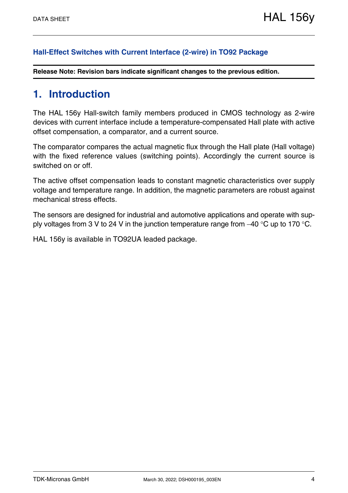#### **[Hall-Effect Switches with Current Interface \(2-wire\) in TO92 Package](#page--1-1)**

**Release Note: Revision bars indicate significant changes to the previous edition.**

## <span id="page-3-0"></span>**1. Introduction**

The HAL 156y Hall-switch family members produced in CMOS technology as 2-wire devices with current interface include a temperature-compensated Hall plate with active offset compensation, a comparator, and a current source.

The comparator compares the actual magnetic flux through the Hall plate (Hall voltage) with the fixed reference values (switching points). Accordingly the current source is switched on or off.

The active offset compensation leads to constant magnetic characteristics over supply voltage and temperature range. In addition, the magnetic parameters are robust against mechanical stress effects.

The sensors are designed for industrial and automotive applications and operate with supply voltages from 3 V to 24 V in the junction temperature range from  $-40$  °C up to 170 °C.

HAL 156y is available in TO92UA leaded package.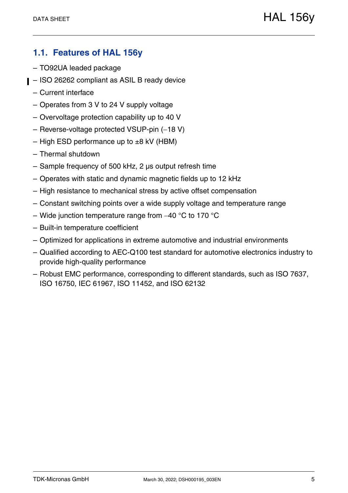## <span id="page-4-0"></span>**1.1. Features of HAL 156y**

- TO92UA leaded package
- ISO 26262 compliant as ASIL B ready device
	- Current interface
	- Operates from 3 V to 24 V supply voltage
	- Overvoltage protection capability up to 40 V
	- $-$  Reverse-voltage protected VSUP-pin  $(-18 V)$
	- High ESD performance up to  $\pm 8$  kV (HBM)
	- Thermal shutdown
	- Sample frequency of 500 kHz, 2 µs output refresh time
	- Operates with static and dynamic magnetic fields up to 12 kHz
	- High resistance to mechanical stress by active offset compensation
	- Constant switching points over a wide supply voltage and temperature range
	- Wide junction temperature range from  $-40$  °C to 170 °C
	- Built-in temperature coefficient
	- Optimized for applications in extreme automotive and industrial environments
	- Qualified according to AEC-Q100 test standard for automotive electronics industry to provide high-quality performance
	- Robust EMC performance, corresponding to different standards, such as ISO 7637, ISO 16750, IEC 61967, ISO 11452, and ISO 62132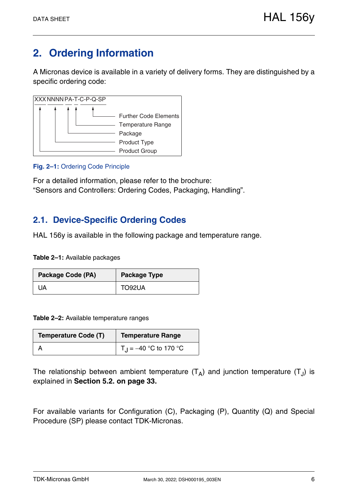# <span id="page-5-0"></span>**2. Ordering Information**

A Micronas device is available in a variety of delivery forms. They are distinguished by a specific ordering code:



#### **Fig. 2–1:** Ordering Code Principle

For a detailed information, please refer to the brochure: "Sensors and Controllers: Ordering Codes, Packaging, Handling".

## <span id="page-5-1"></span>**2.1. Device-Specific Ordering Codes**

HAL 156y is available in the following package and temperature range.

**Table 2–1:** Available packages

| Package Code (PA) | <b>Package Type</b> |
|-------------------|---------------------|
| 'JA               | TO92UA              |

**Table 2–2:** Available temperature ranges

| <b>Temperature Code (T)</b> | <b>Temperature Range</b>          |  |  |  |
|-----------------------------|-----------------------------------|--|--|--|
|                             | T <sub>J</sub> = -40 °C to 170 °C |  |  |  |

The relationship between ambient temperature  $(T_A)$  and junction temperature  $(T_J)$  is explained in **[Section 5.2. on page 33](#page-32-1).**

For available variants for Configuration (C), Packaging (P), Quantity (Q) and Special Procedure (SP) please contact TDK-Micronas.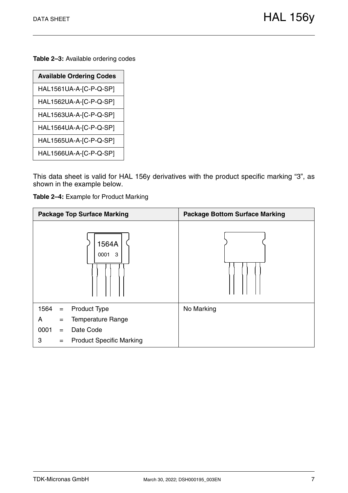**Table 2–3:** Available ordering codes

| <b>Available Ordering Codes</b> |
|---------------------------------|
| HAL1561UA-A-[C-P-Q-SP]          |
| HAL1562UA-A-[C-P-Q-SP]          |
| HAL1563UA-A-[C-P-Q-SP]          |
| HAL1564UA-A-[C-P-Q-SP]          |
| HAL1565UA-A-[C-P-Q-SP]          |
| HAL1566UA-A-[C-P-Q-SP]          |
|                                 |

This data sheet is valid for HAL 156y derivatives with the product specific marking "3", as shown in the example below.

**Table 2–4:** Example for Product Marking

| <b>Package Top Surface Marking</b>          | <b>Package Bottom Surface Marking</b> |
|---------------------------------------------|---------------------------------------|
| 1564A<br>3<br>0001                          |                                       |
| 1564<br><b>Product Type</b><br>$\equiv$     | No Marking                            |
| <b>Temperature Range</b><br>A<br>$=$        |                                       |
| 0001<br>Date Code<br>$=$                    |                                       |
| <b>Product Specific Marking</b><br>3<br>$=$ |                                       |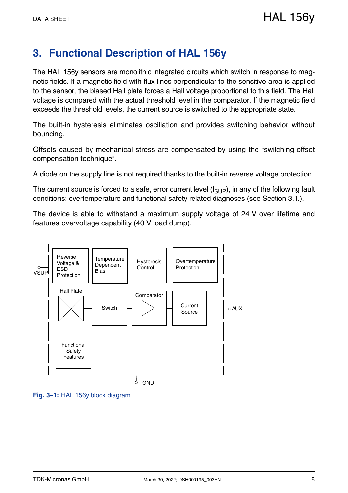## <span id="page-7-0"></span>**3. Functional Description of HAL 156y**

The HAL 156y sensors are monolithic integrated circuits which switch in response to magnetic fields. If a magnetic field with flux lines perpendicular to the sensitive area is applied to the sensor, the biased Hall plate forces a Hall voltage proportional to this field. The Hall voltage is compared with the actual threshold level in the comparator. If the magnetic field exceeds the threshold levels, the current source is switched to the appropriate state.

The built-in hysteresis eliminates oscillation and provides switching behavior without bouncing.

Offsets caused by mechanical stress are compensated by using the "switching offset compensation technique".

A diode on the supply line is not required thanks to the built-in reverse voltage protection.

The current source is forced to a safe, error current level  $(I_{\text{SI},\text{IP}})$ , in any of the following fault conditions: overtemperature and functional safety related diagnoses [\(see Section 3.1.\)](#page-8-0).

The device is able to withstand a maximum supply voltage of 24 V over lifetime and features overvoltage capability (40 V load dump).



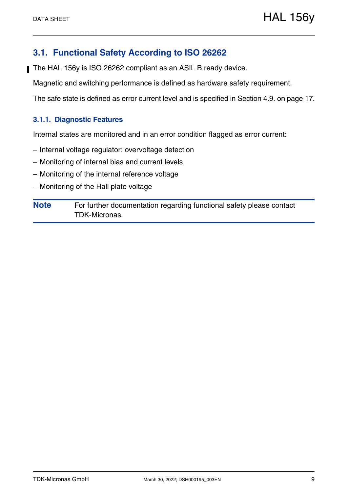## <span id="page-8-0"></span>**3.1. Functional Safety According to ISO 26262**

The HAL 156y is ISO 26262 compliant as an ASIL B ready device.

Magnetic and switching performance is defined as hardware safety requirement.

The safe state is defined as error current level and is specified in [Section 4.9. on page 17](#page-16-1).

#### <span id="page-8-1"></span>**3.1.1. Diagnostic Features**

Internal states are monitored and in an error condition flagged as error current:

- Internal voltage regulator: overvoltage detection
- Monitoring of internal bias and current levels
- Monitoring of the internal reference voltage
- Monitoring of the Hall plate voltage

**Note** For further documentation regarding functional safety please contact TDK-Micronas.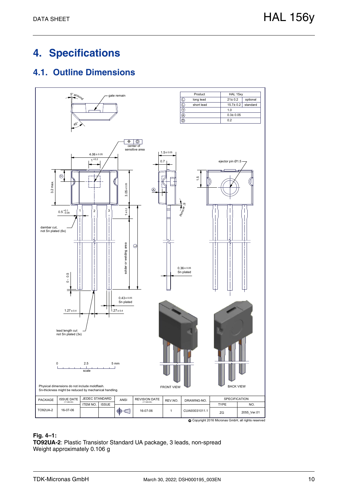# <span id="page-9-0"></span>**4. Specifications**

## <span id="page-9-1"></span>**4.1. Outline Dimensions**



#### **Fig. 4–1:**

**TO92UA-2**: Plastic Transistor Standard UA package, 3 leads, non-spread Weight approximately 0.106 g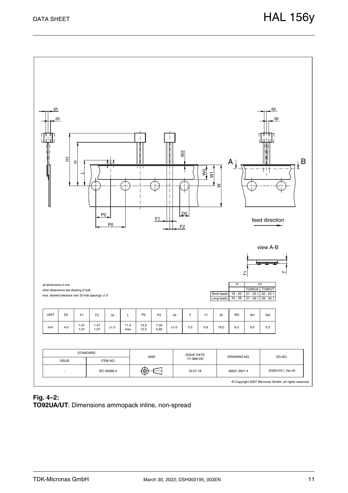

#### **Fig. 4–2: TO92UA/UT**: Dimensions ammopack inline, non-spread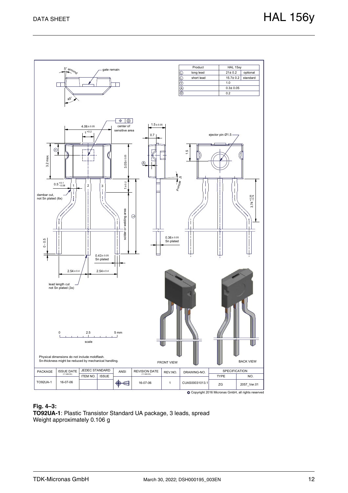

#### **Fig. 4–3:**

**TO92UA-1**: Plastic Transistor Standard UA package, 3 leads, spread Weight approximately 0.106 g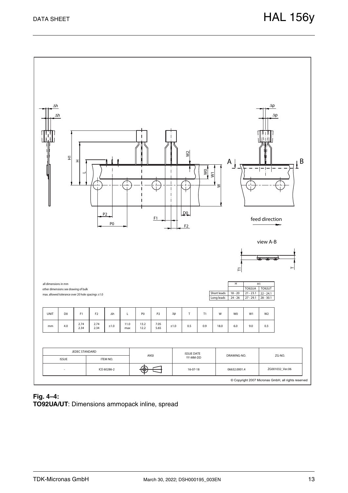

#### **Fig. 4–4: TO92UA/UT**: Dimensions ammopack inline, spread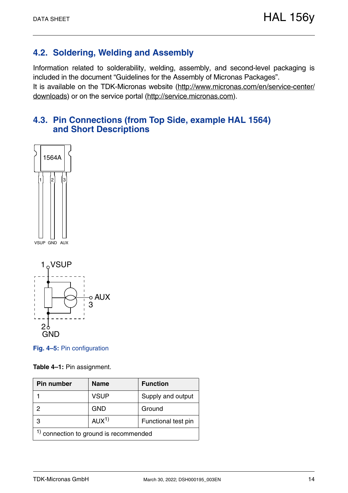## <span id="page-13-0"></span>**4.2. Soldering, Welding and Assembly**

Information related to solderability, welding, assembly, and second-level packaging is included in the document "Guidelines for the Assembly of Micronas Packages". It is available on the TDK-Micronas website [\(http://www.micronas.com/en/service-center/](http://www.micronas.com/en/service-center/downloads) [downloads](http://www.micronas.com/en/service-center/downloads)) or on the service portal [\(http://service.micronas.com\)](http://service.micronas.com).

## <span id="page-13-1"></span>**4.3. Pin Connections (from Top Side, example HAL 1564) and Short Descriptions**





**Fig. 4–5:** Pin configuration

**Table 4–1:** Pin assignment.

| Pin number                          | <b>Name</b>      | <b>Function</b>     |  |  |  |  |  |
|-------------------------------------|------------------|---------------------|--|--|--|--|--|
|                                     | <b>VSUP</b>      | Supply and output   |  |  |  |  |  |
| ႒                                   | <b>GND</b>       | Ground              |  |  |  |  |  |
| З                                   | AUX <sup>1</sup> | Functional test pin |  |  |  |  |  |
| connection to ground is recommended |                  |                     |  |  |  |  |  |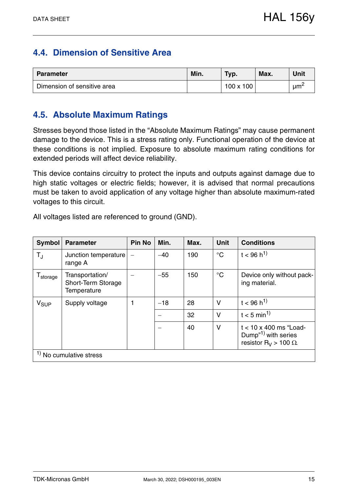## <span id="page-14-0"></span>**4.4. Dimension of Sensitive Area**

| <b>Parameter</b>            | Min. | Typ.             | Max. | Unit            |
|-----------------------------|------|------------------|------|-----------------|
| Dimension of sensitive area |      | $100 \times 100$ |      | um <sup>2</sup> |

## <span id="page-14-1"></span>**4.5. Absolute Maximum Ratings**

Stresses beyond those listed in the "Absolute Maximum Ratings" may cause permanent damage to the device. This is a stress rating only. Functional operation of the device at these conditions is not implied. Exposure to absolute maximum rating conditions for extended periods will affect device reliability.

This device contains circuitry to protect the inputs and outputs against damage due to high static voltages or electric fields; however, it is advised that normal precautions must be taken to avoid application of any voltage higher than absolute maximum-rated voltages to this circuit.

All voltages listed are referenced to ground (GND).

| <b>Symbol</b>                  | <b>Parameter</b>                                     | <b>Pin No</b> | Min.  | Max. | <b>Unit</b>     | <b>Conditions</b>                                                                                            |
|--------------------------------|------------------------------------------------------|---------------|-------|------|-----------------|--------------------------------------------------------------------------------------------------------------|
| $T_{\rm J}$                    | Junction temperature<br>range A                      |               | $-40$ | 190  | $^{\circ}C$     | $t < 96 h^{1}$                                                                                               |
| ${\mathsf T}_{\text{storage}}$ | Transportation/<br>Short-Term Storage<br>Temperature |               | $-55$ | 150  | $\rm ^{\circ}C$ | Device only without pack-<br>ing material.                                                                   |
| $V_{SUP}$                      | Supply voltage                                       | 1             | $-18$ | 28   | $\vee$          | $t < 96 h^{1}$                                                                                               |
|                                |                                                      |               |       | 32   | $\vee$          | $t < 5$ min <sup>1)</sup>                                                                                    |
|                                |                                                      |               |       | 40   | $\vee$          | $t < 10 \times 400$ ms "Load-<br>Dump <sup>"1)</sup> with series<br>resistor R <sub>V</sub> > 100 $\Omega$ . |
|                                | $1$ No cumulative stress                             |               |       |      |                 |                                                                                                              |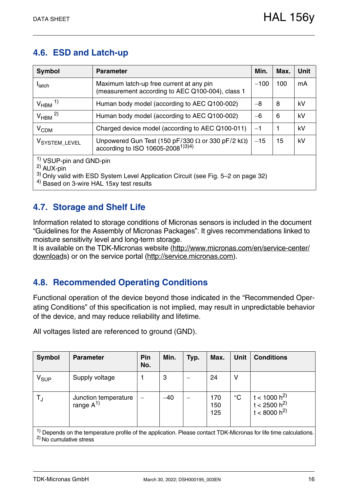## <span id="page-15-0"></span>**4.6. ESD and Latch-up**

| <b>Symbol</b>                                                                                                                                                                                                | <b>Parameter</b>                                                                                                  | Min.   | Max. | <b>Unit</b> |  |  |  |  |
|--------------------------------------------------------------------------------------------------------------------------------------------------------------------------------------------------------------|-------------------------------------------------------------------------------------------------------------------|--------|------|-------------|--|--|--|--|
| <b>I</b> latch                                                                                                                                                                                               | Maximum latch-up free current at any pin<br>(measurement according to AEC Q100-004), class 1                      | $-100$ | 100  | mA          |  |  |  |  |
| $V_{HBM}$ <sup>1)</sup>                                                                                                                                                                                      | Human body model (according to AEC Q100-002)                                                                      | $-8$   | 8    | kV          |  |  |  |  |
| $V_{HBM}$ <sup>2)</sup>                                                                                                                                                                                      | Human body model (according to AEC Q100-002)                                                                      | $-6$   | 6    | kV          |  |  |  |  |
| V <sub>CDM</sub>                                                                                                                                                                                             | Charged device model (according to AEC Q100-011)                                                                  | $-1$   | 1    | kV          |  |  |  |  |
| VSYSTEM_LEVEL                                                                                                                                                                                                | Unpowered Gun Test (150 pF/330 $\Omega$ or 330 pF/2 k $\Omega$ )<br>according to ISO 10605-2008 <sup>1)3)4)</sup> | $-15$  | 15   | kV          |  |  |  |  |
| <sup>1)</sup> VSUP-pin and GND-pin<br>$^{2)}$ AUX-pin<br><sup>3)</sup> Only valid with ESD System Level Application Circuit (see Fig. 5-2 on page 32)<br><sup>4)</sup> Based on 3-wire HAL 15xy test results |                                                                                                                   |        |      |             |  |  |  |  |

# <span id="page-15-1"></span>**4.7. Storage and Shelf Life**

Information related to storage conditions of Micronas sensors is included in the document "Guidelines for the Assembly of Micronas Packages". It gives recommendations linked to moisture sensitivity level and long-term storage.

It is available on the TDK-Micronas website [\(http://www.micronas.com/en/service-center/](http://www.micronas.com/en/service-center/downloads) [downloads](http://www.micronas.com/en/service-center/downloads)) or on the service portal [\(http://service.micronas.com\)](http://service.micronas.com).

## <span id="page-15-2"></span>**4.8. Recommended Operating Conditions**

Functional operation of the device beyond those indicated in the "Recommended Operating Conditions" of this specification is not implied, may result in unpredictable behavior of the device, and may reduce reliability and lifetime.

**Symbol Parameter Pin No. Min. Typ. Max. Unit Conditions**  $V_{SIIP}$  Supply voltage  $\begin{vmatrix} 1 & 3 & | & -1 \end{vmatrix}$  24 | V  $T_J$  Junction temperature  $\begin{vmatrix} -40 \end{vmatrix}$  -40  $\begin{vmatrix} -170 \end{vmatrix}$  170  $\begin{vmatrix} 170 \end{vmatrix}$ 150 125  $^{\circ}$ C  $|$  t < 1000 h<sup>2)</sup> t < 2500 h<sup>2)</sup>  $t < 8000 h^{2}$ <sup>1)</sup> Depends on the temperature profile of the application. Please contact TDK-Micronas for life time calculations. 2) No cumulative stress

All voltages listed are referenced to ground (GND).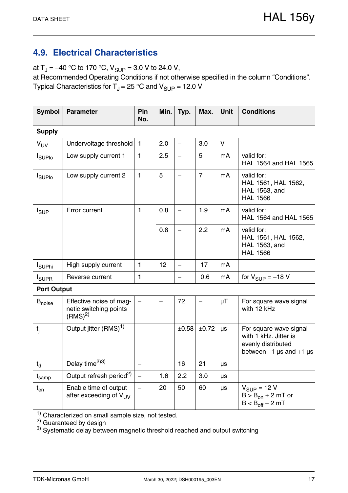## <span id="page-16-1"></span><span id="page-16-0"></span>**4.9. Electrical Characteristics**

at  $T_J = -40$  °C to 170 °C,  $V_{SUP} = 3.0$  V to 24.0 V,

at Recommended Operating Conditions if not otherwise specified in the column "Conditions". Typical Characteristics for  $T_J = 25$  °C and  $V_{\text{SUP}} = 12.0$  V

| <b>Symbol</b>             | <b>Parameter</b>                                                                                    | Pin<br>No.   | Min. | Typ.                     | Max.           | Unit    | <b>Conditions</b>                                                                                    |  |  |
|---------------------------|-----------------------------------------------------------------------------------------------------|--------------|------|--------------------------|----------------|---------|------------------------------------------------------------------------------------------------------|--|--|
| <b>Supply</b>             |                                                                                                     |              |      |                          |                |         |                                                                                                      |  |  |
| $V_{UV}$                  | Undervoltage threshold   1                                                                          |              | 2.0  | $\equiv$                 | 3.0            | $\vee$  |                                                                                                      |  |  |
| <b>I</b> SUPIO            | Low supply current 1                                                                                | $\mathbf{1}$ | 2.5  |                          | 5              | mA      | valid for:<br>HAL 1564 and HAL 1565                                                                  |  |  |
| <b>I</b> SUPIO            | Low supply current 2                                                                                | $\mathbf{1}$ | 5    | $\overline{\phantom{m}}$ | $\overline{7}$ | mA      | valid for:<br>HAL 1561, HAL 1562,<br>HAL 1563, and<br><b>HAL 1566</b>                                |  |  |
| $I_{SUP}$                 | Error current                                                                                       | $\mathbf{1}$ | 0.8  |                          | 1.9            | mA      | valid for:<br>HAL 1564 and HAL 1565                                                                  |  |  |
|                           |                                                                                                     |              | 0.8  | $\overline{\phantom{0}}$ | 2.2            | mA      | valid for:<br>HAL 1561, HAL 1562,<br>HAL 1563, and<br><b>HAL 1566</b>                                |  |  |
| <b>I</b> <sub>SUPhi</sub> | High supply current                                                                                 | $\mathbf{1}$ | 12   | $\overline{\phantom{0}}$ | 17             | mA      |                                                                                                      |  |  |
| <b>I</b> SUPR             | Reverse current                                                                                     | 1            |      |                          | 0.6            | mA      | for $V_{\text{SUP}} = -18$ V                                                                         |  |  |
| <b>Port Output</b>        |                                                                                                     |              |      |                          |                |         |                                                                                                      |  |  |
| <b>B</b> <sub>noise</sub> | Effective noise of mag-<br>netic switching points<br>$(RMS)^{2)}$                                   |              |      | 72                       |                | μT      | For square wave signal<br>with 12 kHz                                                                |  |  |
| $t_{j}$                   | Output jitter (RMS) <sup>1)</sup>                                                                   |              |      | ±0.58                    | ±0.72          | μs      | For square wave signal<br>with 1 kHz. Jitter is<br>evenly distributed<br>between $-1$ µs and $+1$ µs |  |  |
| $t_{d}$                   | Delay time <sup>2)3)</sup>                                                                          |              |      | 16                       | 21             | $\mu s$ |                                                                                                      |  |  |
| t <sub>samp</sub>         | Output refresh period <sup>2)</sup>                                                                 |              | 1.6  | 2.2                      | 3.0            | μs      |                                                                                                      |  |  |
| $t_{en}$                  | Enable time of output<br>after exceeding of V <sub>UV</sub>                                         |              | 20   | 50                       | 60             | μs      | $V_{SUP} = 12 V$<br>$B > B_{on} + 2 mT$ or<br>$B < B_{off} - 2 mT$                                   |  |  |
|                           | <sup>1)</sup> Characterized on small sample size, not tested.<br><sup>2)</sup> Guaranteed by design |              |      |                          |                |         |                                                                                                      |  |  |

 $^{3)}$  Systematic delay between magnetic threshold reached and output switching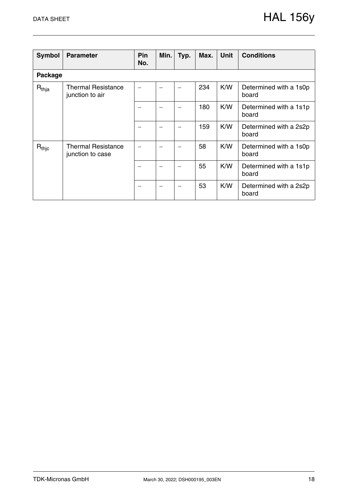| <b>Symbol</b> | <b>Parameter</b>                              | Pin<br>No. | Min. | Typ. | Max. | <b>Unit</b> | <b>Conditions</b>               |
|---------------|-----------------------------------------------|------------|------|------|------|-------------|---------------------------------|
| Package       |                                               |            |      |      |      |             |                                 |
| $R_{thja}$    | <b>Thermal Resistance</b><br>junction to air  |            |      |      | 234  | K/W         | Determined with a 1s0p<br>board |
|               |                                               |            |      |      | 180  | K/W         | Determined with a 1s1p<br>board |
|               |                                               |            |      |      | 159  | K/W         | Determined with a 2s2p<br>board |
| $R_{thic}$    | <b>Thermal Resistance</b><br>junction to case |            |      |      | 58   | K/W         | Determined with a 1s0p<br>board |
|               |                                               |            |      |      | 55   | K/W         | Determined with a 1s1p<br>board |
|               |                                               |            |      |      | 53   | K/W         | Determined with a 2s2p<br>board |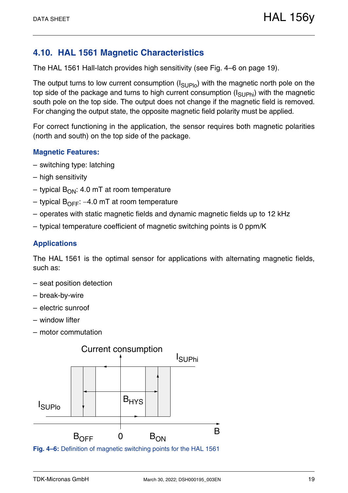## <span id="page-18-0"></span>**4.10. HAL 1561 Magnetic Characteristics**

The HAL 1561 Hall-latch provides high sensitivity [\(see Fig. 4–6 on page 19\).](#page-18-1)

The output turns to low current consumption  $(I_{\text{SUPIO}})$  with the magnetic north pole on the top side of the package and turns to high current consumption  $(I_{\text{SI}},I_{\text{Phi}})$  with the magnetic south pole on the top side. The output does not change if the magnetic field is removed. For changing the output state, the opposite magnetic field polarity must be applied.

For correct functioning in the application, the sensor requires both magnetic polarities (north and south) on the top side of the package.

## **Magnetic Features:**

- switching type: latching
- high sensitivity
- typical  $B_{ON}$ : 4.0 mT at room temperature
- typical  $B_{\text{OFF}}$ : –4.0 mT at room temperature
- operates with static magnetic fields and dynamic magnetic fields up to 12 kHz
- typical temperature coefficient of magnetic switching points is 0 ppm/K

## **Applications**

The HAL 1561 is the optimal sensor for applications with alternating magnetic fields, such as:

- seat position detection
- break-by-wire
- electric sunroof
- window lifter
- motor commutation



<span id="page-18-1"></span>**Fig. 4–6:** Definition of magnetic switching points for the HAL 1561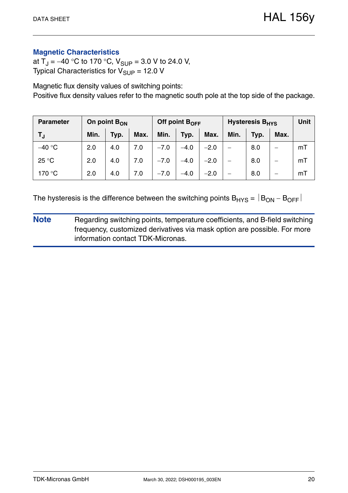## **Magnetic Characteristics**

at  $T_J = -40$  °C to 170 °C,  $V_{SUP} = 3.0$  V to 24.0 V, Typical Characteristics for  $V_{\text{SUP}} = 12.0 \text{ V}$ 

Magnetic flux density values of switching points: Positive flux density values refer to the magnetic south pole at the top side of the package.

| <b>Parameter</b> | On point $B_{ON}$ |      |      | Off point $B_{\text{OFF}}$ |        |        | <b>Hysteresis B<sub>HYS</sub></b> | <b>Unit</b> |      |    |
|------------------|-------------------|------|------|----------------------------|--------|--------|-----------------------------------|-------------|------|----|
| TJ.              | Min.              | Typ. | Max. | Min.                       | Typ.   | Max.   | Min.                              | Typ.        | Max. |    |
| $-40 °C$         | 2.0               | 4.0  | 7.0  | $-7.0$                     | $-4.0$ | $-2.0$ | —                                 | 8.0         | -    | mT |
| 25 °C            | 2.0               | 4.0  | 7.0  | $-7.0$                     | $-4.0$ | $-2.0$ | —                                 | 8.0         | —    | mT |
| 170 °C           | 2.0               | 4.0  | 7.0  | $-7.0$                     | $-4.0$ | $-2.0$ | —                                 | 8.0         | –    | mT |

The hysteresis is the difference between the switching points  $B_{HYS} = |B_{ON} - B_{OFF}|$ 

**Note** Regarding switching points, temperature coefficients, and B-field switching frequency, customized derivatives via mask option are possible. For more information contact TDK-Micronas.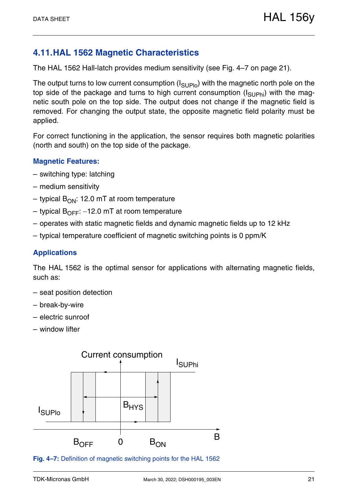## <span id="page-20-0"></span>**4.11.HAL 1562 Magnetic Characteristics**

The HAL 1562 Hall-latch provides medium sensitivity [\(see Fig. 4–7 on page 21\).](#page-20-1)

The output turns to low current consumption  $(I_{\text{SUPIO}})$  with the magnetic north pole on the top side of the package and turns to high current consumption  $(I_{\text{SIPhi}})$  with the magnetic south pole on the top side. The output does not change if the magnetic field is removed. For changing the output state, the opposite magnetic field polarity must be applied.

For correct functioning in the application, the sensor requires both magnetic polarities (north and south) on the top side of the package.

#### **Magnetic Features:**

- switching type: latching
- medium sensitivity
- typical  $B_{ON}$ : 12.0 mT at room temperature
- typical  $B_{OFF}$ : -12.0 mT at room temperature
- operates with static magnetic fields and dynamic magnetic fields up to 12 kHz
- typical temperature coefficient of magnetic switching points is 0 ppm/K

## **Applications**

The HAL 1562 is the optimal sensor for applications with alternating magnetic fields, such as:

- seat position detection
- break-by-wire
- electric sunroof
- window lifter



<span id="page-20-1"></span>**Fig. 4–7:** Definition of magnetic switching points for the HAL 1562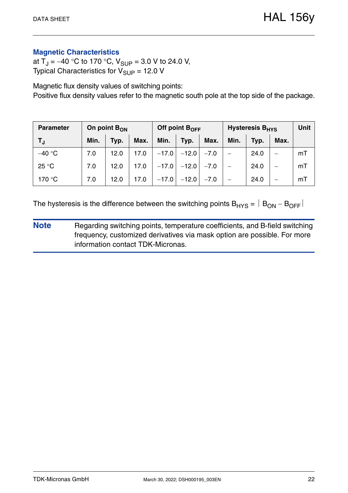## **Magnetic Characteristics**

at  $T_J = -40$  °C to 170 °C,  $V_{SUP} = 3.0$  V to 24.0 V, Typical Characteristics for  $V_{\text{SUP}} = 12.0 \text{ V}$ 

Magnetic flux density values of switching points: Positive flux density values refer to the magnetic south pole at the top side of the package.

| <b>Parameter</b> | On point $B_{ON}$ |      |      |         | Off point B <sub>OFF</sub> |        | <b>Hysteresis B<sub>HYS</sub></b> | Unit |      |    |
|------------------|-------------------|------|------|---------|----------------------------|--------|-----------------------------------|------|------|----|
| TJ.              | Min.              | Typ. | Max. | Min.    | Typ.                       | Max.   | Min.                              | Typ. | Max. |    |
| $-40 °C$         | 7.0               | 12.0 | 17.0 | $-17.0$ | $-12.0$                    | $-7.0$ |                                   | 24.0 |      | mT |
| 25 °C            | 7.0               | 12.0 | 17.0 | $-17.0$ | $-12.0$                    | $-7.0$ |                                   | 24.0 |      | mT |
| 170 °C           | 7.0               | 12.0 | 17.0 | $-17.0$ | $-12.0$                    | $-7.0$ | $\overline{\phantom{0}}$          | 24.0 |      | mT |

The hysteresis is the difference between the switching points  $B_{HYS} = |B_{ON} - B_{OFF}|$ 

**Note** Regarding switching points, temperature coefficients, and B-field switching frequency, customized derivatives via mask option are possible. For more information contact TDK-Micronas.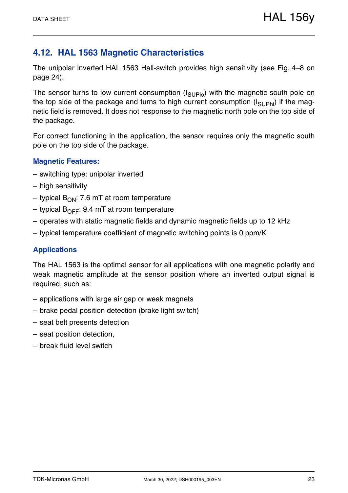## <span id="page-22-0"></span>**4.12. HAL 1563 Magnetic Characteristics**

The unipolar inverted HAL 1563 Hall-switch provides high sensitivity [\(see Fig. 4–8 on](#page-23-0) [page 24\)](#page-23-0).

The sensor turns to low current consumption  $(I_{SI,IPlo})$  with the magnetic south pole on the top side of the package and turns to high current consumption  $(I_{\text{SUPhi}})$  if the magnetic field is removed. It does not response to the magnetic north pole on the top side of the package.

For correct functioning in the application, the sensor requires only the magnetic south pole on the top side of the package.

#### **Magnetic Features:**

- switching type: unipolar inverted
- high sensitivity
- typical  $B_{ON}$ : 7.6 mT at room temperature
- typical  $B_{\text{OFF}}$ : 9.4 mT at room temperature
- operates with static magnetic fields and dynamic magnetic fields up to 12 kHz
- typical temperature coefficient of magnetic switching points is 0 ppm/K

## **Applications**

The HAL 1563 is the optimal sensor for all applications with one magnetic polarity and weak magnetic amplitude at the sensor position where an inverted output signal is required, such as:

- applications with large air gap or weak magnets
- brake pedal position detection (brake light switch)
- seat belt presents detection
- seat position detection,
- break fluid level switch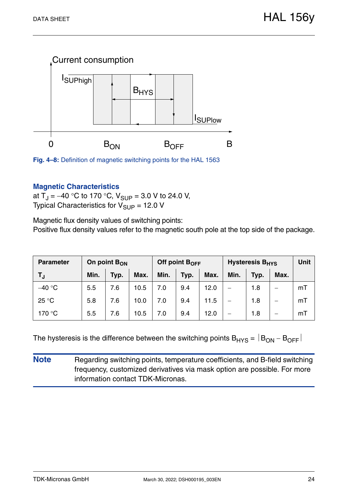

<span id="page-23-0"></span>

#### **Magnetic Characteristics**

at  $T_{\rm J} = -40$  °C to 170 °C,  $V_{\rm SLIP} = 3.0$  V to 24.0 V, Typical Characteristics for  $V_{SUP}$  = 12.0 V

Magnetic flux density values of switching points: Positive flux density values refer to the magnetic south pole at the top side of the package.

| <b>Parameter</b> | On point B <sub>ON</sub> |      |      |      | Off point $B_{OFF}$ |      | <b>Hysteresis B<sub>HYS</sub></b> | Unit |      |    |
|------------------|--------------------------|------|------|------|---------------------|------|-----------------------------------|------|------|----|
| TJ               | Min.                     | Typ. | Max. | Min. | Typ.                | Max. | Min.                              | Typ. | Max. |    |
| $-40 °C$         | 5.5                      | 7.6  | 10.5 | 7.0  | 9.4                 | 12.0 | —                                 | 1.8  | —    | mT |
| 25 °C            | 5.8                      | 7.6  | 10.0 | 7.0  | 9.4                 | 11.5 | —                                 | 1.8  | —    | mT |
| 170 °C           | 5.5                      | 7.6  | 10.5 | 7.0  | 9.4                 | 12.0 | —                                 | 1.8  | —    | mT |

The hysteresis is the difference between the switching points  $B_{HYS} = |B_{ON} - B_{OFF}|$ 

**Note** Regarding switching points, temperature coefficients, and B-field switching frequency, customized derivatives via mask option are possible. For more information contact TDK-Micronas.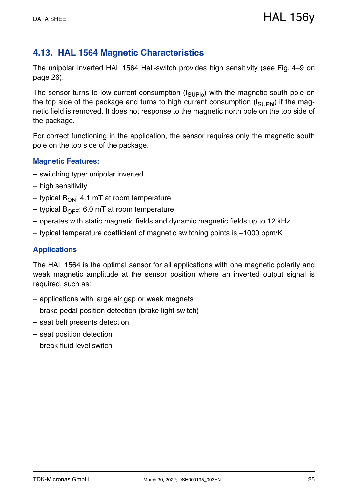## <span id="page-24-0"></span>**4.13. HAL 1564 Magnetic Characteristics**

The unipolar inverted HAL 1564 Hall-switch provides high sensitivity [\(see Fig. 4–9 on](#page-25-0) [page 26\)](#page-25-0).

The sensor turns to low current consumption  $(I_{SI,IPlo})$  with the magnetic south pole on the top side of the package and turns to high current consumption  $(I_{\text{SUPhi}})$  if the magnetic field is removed. It does not response to the magnetic north pole on the top side of the package.

For correct functioning in the application, the sensor requires only the magnetic south pole on the top side of the package.

#### **Magnetic Features:**

- switching type: unipolar inverted
- high sensitivity
- typical  $B_{ON}$ : 4.1 mT at room temperature
- typical  $B_{\text{OFF}}$ : 6.0 mT at room temperature
- operates with static magnetic fields and dynamic magnetic fields up to 12 kHz
- typical temperature coefficient of magnetic switching points is  $-1000$  ppm/K

## **Applications**

The HAL 1564 is the optimal sensor for all applications with one magnetic polarity and weak magnetic amplitude at the sensor position where an inverted output signal is required, such as:

- applications with large air gap or weak magnets
- brake pedal position detection (brake light switch)
- seat belt presents detection
- seat position detection
- break fluid level switch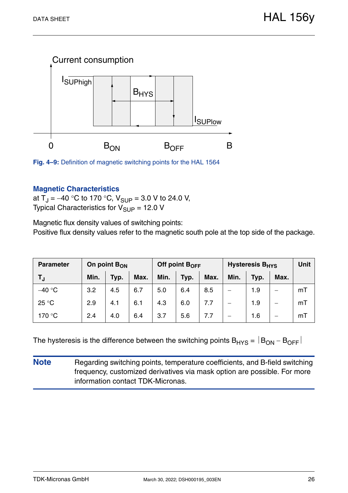

<span id="page-25-0"></span>

## **Magnetic Characteristics**

at  $T_J = -40$  °C to 170 °C,  $V_{SUP} = 3.0$  V to 24.0 V, Typical Characteristics for  $V_{\text{SUP}} = 12.0 \text{ V}$ 

Magnetic flux density values of switching points: Positive flux density values refer to the magnetic south pole at the top side of the package.

| <b>Parameter</b> | On point $B_{ON}$ |      |      | Off point $B_{OFF}$ |      |      | <b>Hysteresis B<sub>HYS</sub></b> | <b>Unit</b> |      |    |
|------------------|-------------------|------|------|---------------------|------|------|-----------------------------------|-------------|------|----|
| TJ               | Min.              | Typ. | Max. | Min.                | Typ. | Max. | Min.                              | Typ.        | Max. |    |
| $-40 °C$         | 3.2               | 4.5  | 6.7  | 5.0                 | 6.4  | 8.5  |                                   | 1.9         |      | mT |
| 25 °C            | 2.9               | 4.1  | 6.1  | 4.3                 | 6.0  | 7.7  |                                   | 1.9         |      | mT |
| 170 °C           | 2.4               | 4.0  | 6.4  | 3.7                 | 5.6  | 7.7  |                                   | 1.6         |      | mT |

The hysteresis is the difference between the switching points  $B_{HYS} = |B_{ON} - B_{OFF}|$ 

**Note** Regarding switching points, temperature coefficients, and B-field switching frequency, customized derivatives via mask option are possible. For more information contact TDK-Micronas.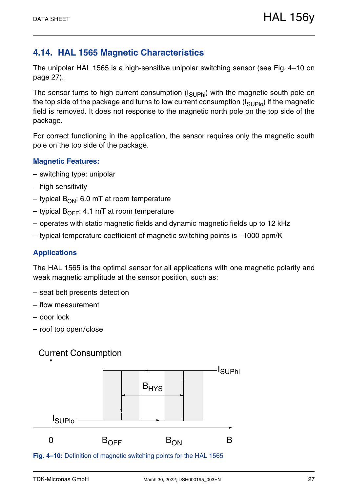## <span id="page-26-0"></span>**4.14. HAL 1565 Magnetic Characteristics**

The unipolar HAL 1565 is a high-sensitive unipolar switching sensor [\(see Fig. 4–10 on](#page-26-1) [page 27\)](#page-26-1).

The sensor turns to high current consumption  $(I_{\text{SUPhi}})$  with the magnetic south pole on the top side of the package and turns to low current consumption  $(I_{\text{SUPlo}})$  if the magnetic field is removed. It does not response to the magnetic north pole on the top side of the package.

For correct functioning in the application, the sensor requires only the magnetic south pole on the top side of the package.

## **Magnetic Features:**

- switching type: unipolar
- high sensitivity
- typical  $B_{ON}$ : 6.0 mT at room temperature
- typical  $B_{\text{OFF}}$ : 4.1 mT at room temperature
- operates with static magnetic fields and dynamic magnetic fields up to 12 kHz
- typical temperature coefficient of magnetic switching points is  $-1000$  ppm/K

## **Applications**

The HAL 1565 is the optimal sensor for all applications with one magnetic polarity and weak magnetic amplitude at the sensor position, such as:

- seat belt presents detection
- flow measurement
- door lock
- roof top open/close

## Current Consumption



<span id="page-26-1"></span>**Fig. 4–10:** Definition of magnetic switching points for the HAL 1565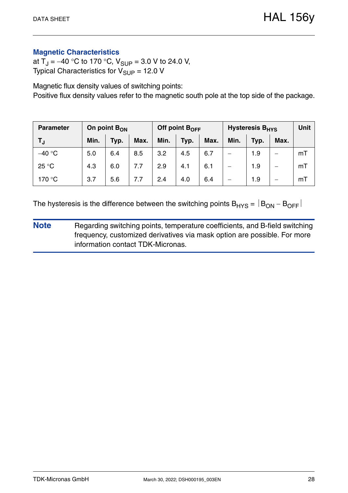## **Magnetic Characteristics**

at  $T_J = -40$  °C to 170 °C,  $V_{SUP} = 3.0$  V to 24.0 V, Typical Characteristics for  $V_{\text{SUP}} = 12.0 \text{ V}$ 

Magnetic flux density values of switching points: Positive flux density values refer to the magnetic south pole at the top side of the package.

| <b>Parameter</b> | On point $B_{ON}$ |      |      |      | Off point $B_{OFF}$ |      | <b>Hysteresis B<sub>HYS</sub></b> | <b>Unit</b> |      |    |
|------------------|-------------------|------|------|------|---------------------|------|-----------------------------------|-------------|------|----|
| TJ.              | Min.              | Typ. | Max. | Min. | Typ.                | Max. | Min.                              | Typ.        | Max. |    |
| $-40$ °C         | 5.0               | 6.4  | 8.5  | 3.2  | 4.5                 | 6.7  |                                   | 1.9         |      | mT |
| 25 °C            | 4.3               | 6.0  | 7.7  | 2.9  | 4.1                 | 6.1  |                                   | 1.9         |      | mT |
| 170 °C           | 3.7               | 5.6  | 7.7  | 2.4  | 4.0                 | 6.4  |                                   | 1.9         |      | mT |

The hysteresis is the difference between the switching points  $B_{HYS} = |B_{ON} - B_{OFF}|$ 

**Note** Regarding switching points, temperature coefficients, and B-field switching frequency, customized derivatives via mask option are possible. For more information contact TDK-Micronas.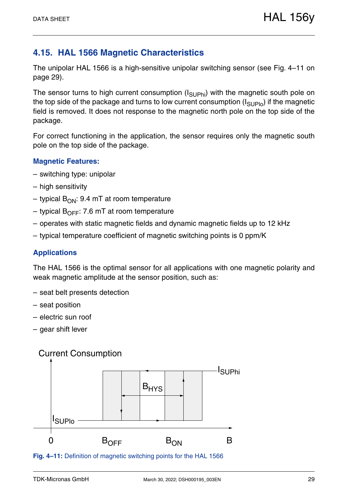## <span id="page-28-0"></span>**4.15. HAL 1566 Magnetic Characteristics**

The unipolar HAL 1566 is a high-sensitive unipolar switching sensor [\(see Fig. 4–11 on](#page-28-1) [page 29\)](#page-28-1).

The sensor turns to high current consumption  $(I_{\text{SUPhi}})$  with the magnetic south pole on the top side of the package and turns to low current consumption  $(I_{\text{SUPlo}})$  if the magnetic field is removed. It does not response to the magnetic north pole on the top side of the package.

For correct functioning in the application, the sensor requires only the magnetic south pole on the top side of the package.

## **Magnetic Features:**

- switching type: unipolar
- high sensitivity
- typical  $B_{ON}$ : 9.4 mT at room temperature
- typical  $B_{\text{OFF}}$ : 7.6 mT at room temperature
- operates with static magnetic fields and dynamic magnetic fields up to 12 kHz
- typical temperature coefficient of magnetic switching points is 0 ppm/K

## **Applications**

The HAL 1566 is the optimal sensor for all applications with one magnetic polarity and weak magnetic amplitude at the sensor position, such as:

- seat belt presents detection
- seat position
- electric sun roof
- gear shift lever

## Current Consumption



<span id="page-28-1"></span>**Fig. 4–11:** Definition of magnetic switching points for the HAL 1566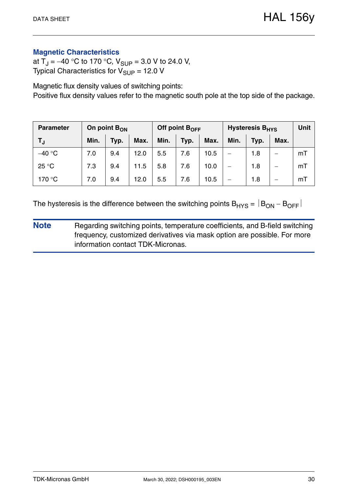## **Magnetic Characteristics**

at  $T_J = -40$  °C to 170 °C,  $V_{SUP} = 3.0$  V to 24.0 V, Typical Characteristics for  $V_{\text{SUP}} = 12.0 \text{ V}$ 

Magnetic flux density values of switching points: Positive flux density values refer to the magnetic south pole at the top side of the package.

| <b>Parameter</b> | On point B <sub>ON</sub> |      |      |      | Off point $B_{OFF}$ |      | <b>Hysteresis B<sub>HYS</sub></b> | Unit |                          |    |
|------------------|--------------------------|------|------|------|---------------------|------|-----------------------------------|------|--------------------------|----|
| T,               | Min.                     | Typ. | Max. | Min. | Typ.                | Max. | Min.                              | Typ. | Max.                     |    |
| $-40 °C$         | 7.0                      | 9.4  | 12.0 | 5.5  | 7.6                 | 10.5 | $\overline{\phantom{0}}$          | 1.8  | –                        | mT |
| 25 °C            | 7.3                      | 9.4  | 11.5 | 5.8  | 7.6                 | 10.0 | $\qquad \qquad$                   | 1.8  | $\overline{\phantom{0}}$ | mT |
| 170 °C           | 7.0                      | 9.4  | 12.0 | 5.5  | 7.6                 | 10.5 |                                   | 1.8  |                          | mT |

The hysteresis is the difference between the switching points  $B_{HYS} = |B_{ON} - B_{OFF}|$ 

**Note** Regarding switching points, temperature coefficients, and B-field switching frequency, customized derivatives via mask option are possible. For more information contact TDK-Micronas.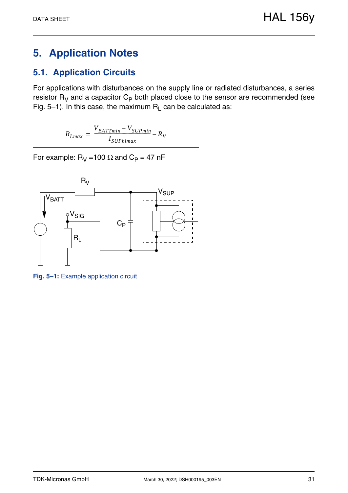# <span id="page-30-0"></span>**5. Application Notes**

## <span id="page-30-1"></span>**5.1. Application Circuits**

For applications with disturbances on the supply line or radiated disturbances, a series resistor  $R_V$  and a capacitor  $C_P$  both placed close to the sensor are recommended [\(see](#page-30-2) [Fig. 5–1\).](#page-30-2) In this case, the maximum  $R_L$  can be calculated as:

$$
R_{Lmax} = \frac{V_{BATTmin} - V_{SUPmin}}{I_{SUPhimax}} - R_V
$$

For example:  $R_V = 100 \Omega$  and  $C_P = 47 \text{ nF}$ 



<span id="page-30-2"></span>**Fig. 5–1:** Example application circuit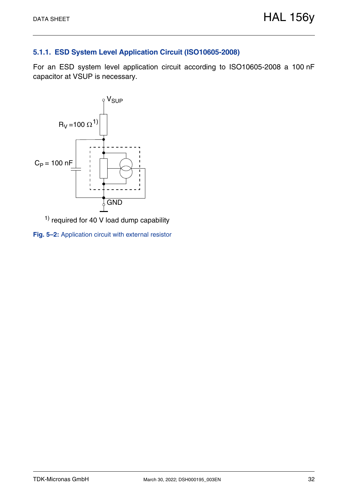## <span id="page-31-0"></span>**5.1.1. ESD System Level Application Circuit (ISO10605-2008)**

For an ESD system level application circuit according to ISO10605-2008 a 100 nF capacitor at VSUP is necessary.



<span id="page-31-1"></span> $1)$  required for 40 V load dump capability

**Fig. 5–2:** Application circuit with external resistor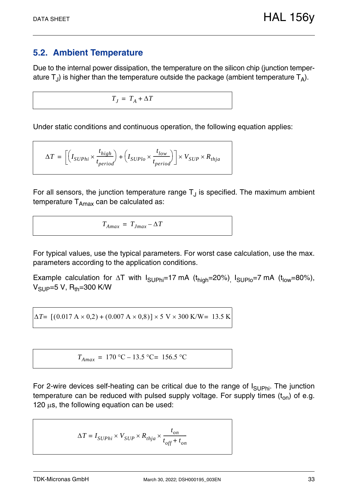## <span id="page-32-1"></span><span id="page-32-0"></span>**5.2. Ambient Temperature**

Due to the internal power dissipation, the temperature on the silicon chip (junction temperature  $T_{J}$ ) is higher than the temperature outside the package (ambient temperature  $T_{A}$ ).

 $T_I = T_A + \Delta T$ 

Under static conditions and continuous operation, the following equation applies:

$$
\Delta T = \left[\left(I_{SUPhi} \times \frac{t_{high}}{t_{period}}\right) + \left(I_{SUPlo} \times \frac{t_{low}}{t_{period}}\right)\right] \times V_{SUP} \times R_{thja}
$$

For all sensors, the junction temperature range  $T_{\text{J}}$  is specified. The maximum ambient temperature  $T_{Amax}$  can be calculated as:

$$
T_{Amax} = T_{Jmax} - \Delta T
$$

For typical values, use the typical parameters. For worst case calculation, use the max. parameters according to the application conditions.

Example calculation for  $\Delta T$  with  $I_{\text{SUPhi}}=17 \text{ mA}$  ( $t_{\text{high}}=20\%$ ),  $I_{\text{SUPlo}}=7 \text{ mA}$  ( $t_{\text{low}}=80\%$ ),  $V_{\text{SUP}} = 5 V$ , R<sub>th</sub>=300 K/W

 $\Delta T$ =  $[(0.017 \text{ A} \times 0.2) + (0.007 \text{ A} \times 0.8)] \times 5 \text{ V} \times 300 \text{ K/W}$ = 13.5 K

$$
T_{Amax} = 170 \,^{\circ}\text{C} - 13.5 \,^{\circ}\text{C} = 156.5 \,^{\circ}\text{C}
$$

For 2-wire devices self-heating can be critical due to the range of  $I_{\text{SUPhi}}$ . The junction temperature can be reduced with pulsed supply voltage. For supply times  $(t_{on})$  of e.g. 120  $\mu$ s, the following equation can be used:

$$
\Delta T = I_{SUPhi} \times V_{SUP} \times R_{thja} \times \frac{t_{on}}{t_{off} + t_{on}}
$$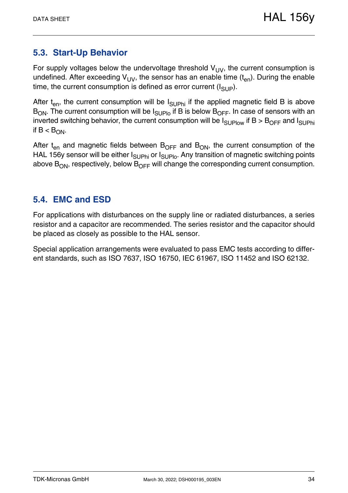## <span id="page-33-0"></span>**5.3. Start-Up Behavior**

For supply voltages below the undervoltage threshold  $V_{UV}$ , the current consumption is undefined. After exceeding  $V_{UV}$ , the sensor has an enable time  $(t_{en})$ . During the enable time, the current consumption is defined as error current  $(I_{SIIP})$ .

After  $t_{en}$ , the current consumption will be  $I_{\text{SUPhi}}$  if the applied magnetic field B is above  $B_{ON}$ . The current consumption will be  $I_{SUPIO}$  if B is below  $B_{OFF}$ . In case of sensors with an inverted switching behavior, the current consumption will be  $I_{\text{SUPlow}}$  if B > B<sub>OFF</sub> and  $I_{\text{SUPhi}}$ if  $B < B_{ON}$ .

After  $t_{en}$  and magnetic fields between  $B_{OFF}$  and  $B_{ON}$ , the current consumption of the HAL 156y sensor will be either  $I_{\text{SUPhi}}$  or  $I_{\text{SUPlo}}$ . Any transition of magnetic switching points above  $B_{ON}$ , respectively, below  $B_{OFF}$  will change the corresponding current consumption.

## <span id="page-33-1"></span>**5.4. EMC and ESD**

For applications with disturbances on the supply line or radiated disturbances, a series resistor and a capacitor are recommended. The series resistor and the capacitor should be placed as closely as possible to the HAL sensor.

Special application arrangements were evaluated to pass EMC tests according to different standards, such as ISO 7637, ISO 16750, IEC 61967, ISO 11452 and ISO 62132.